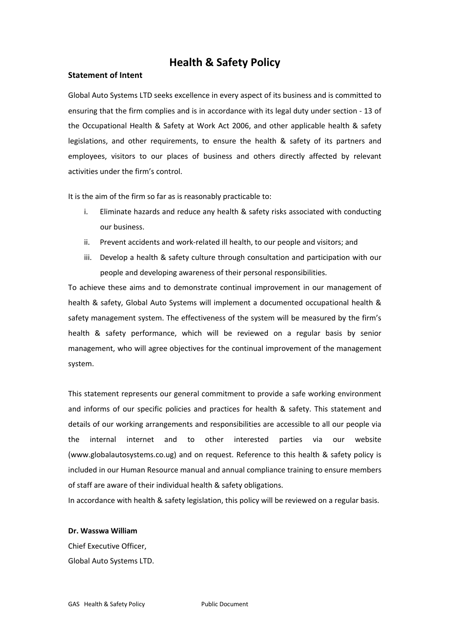# **Health & Safety Policy**

# **Statement of Intent**

Global Auto Systems LTD seeks excellence in every aspect of its business and is committed to ensuring that the firm complies and is in accordance with its legal duty under section - 13 of the Occupational Health & Safety at Work Act 2006, and other applicable health & safety legislations, and other requirements, to ensure the health & safety of its partners and employees, visitors to our places of business and others directly affected by relevant activities under the firm's control.

It is the aim of the firm so far as is reasonably practicable to:

- i. Eliminate hazards and reduce any health & safety risks associated with conducting our business.
- ii. Prevent accidents and work-related ill health, to our people and visitors; and
- iii. Develop a health & safety culture through consultation and participation with our people and developing awareness of their personal responsibilities.

To achieve these aims and to demonstrate continual improvement in our management of health & safety, Global Auto Systems will implement a documented occupational health & safety management system. The effectiveness of the system will be measured by the firm's health & safety performance, which will be reviewed on a regular basis by senior management, who will agree objectives for the continual improvement of the management system.

This statement represents our general commitment to provide a safe working environment and informs of our specific policies and practices for health & safety. This statement and details of our working arrangements and responsibilities are accessible to all our people via the internal internet and to other interested parties via our website (www.globalautosystems.co.ug) and on request. Reference to this health & safety policy is included in our Human Resource manual and annual compliance training to ensure members of staff are aware of their individual health & safety obligations.

In accordance with health & safety legislation, this policy will be reviewed on a regular basis.

# **Dr. Wasswa William**

Chief Executive Officer, Global Auto Systems LTD.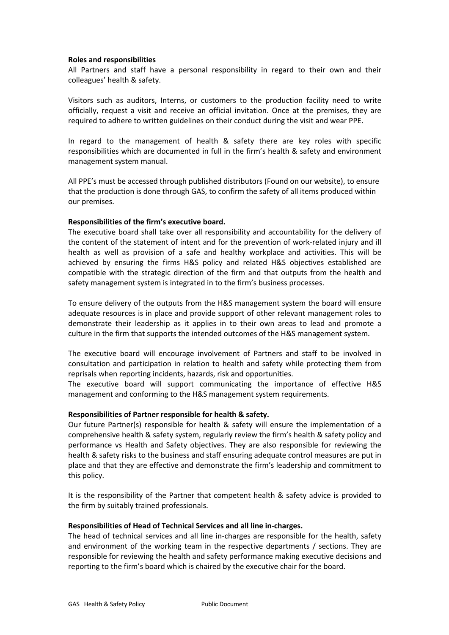## **Roles and responsibilities**

All Partners and staff have a personal responsibility in regard to their own and their colleagues' health & safety.

Visitors such as auditors, Interns, or customers to the production facility need to write officially, request a visit and receive an official invitation. Once at the premises, they are required to adhere to written guidelines on their conduct during the visit and wear PPE.

In regard to the management of health & safety there are key roles with specific responsibilities which are documented in full in the firm's health & safety and environment management system manual.

All PPE's must be accessed through published distributors (Found on our website), to ensure that the production is done through GAS, to confirm the safety of all items produced within our premises.

## **Responsibilities of the firm's executive board.**

The executive board shall take over all responsibility and accountability for the delivery of the content of the statement of intent and for the prevention of work-related injury and ill health as well as provision of a safe and healthy workplace and activities. This will be achieved by ensuring the firms H&S policy and related H&S objectives established are compatible with the strategic direction of the firm and that outputs from the health and safety management system is integrated in to the firm's business processes.

To ensure delivery of the outputs from the H&S management system the board will ensure adequate resources is in place and provide support of other relevant management roles to demonstrate their leadership as it applies in to their own areas to lead and promote a culture in the firm that supports the intended outcomes of the H&S management system.

The executive board will encourage involvement of Partners and staff to be involved in consultation and participation in relation to health and safety while protecting them from reprisals when reporting incidents, hazards, risk and opportunities.

The executive board will support communicating the importance of effective H&S management and conforming to the H&S management system requirements.

# **Responsibilities of Partner responsible for health & safety.**

Our future Partner(s) responsible for health & safety will ensure the implementation of a comprehensive health & safety system, regularly review the firm's health & safety policy and performance vs Health and Safety objectives. They are also responsible for reviewing the health & safety risks to the business and staff ensuring adequate control measures are put in place and that they are effective and demonstrate the firm's leadership and commitment to this policy.

It is the responsibility of the Partner that competent health & safety advice is provided to the firm by suitably trained professionals.

#### **Responsibilities of Head of Technical Services and all line in-charges.**

The head of technical services and all line in-charges are responsible for the health, safety and environment of the working team in the respective departments / sections. They are responsible for reviewing the health and safety performance making executive decisions and reporting to the firm's board which is chaired by the executive chair for the board.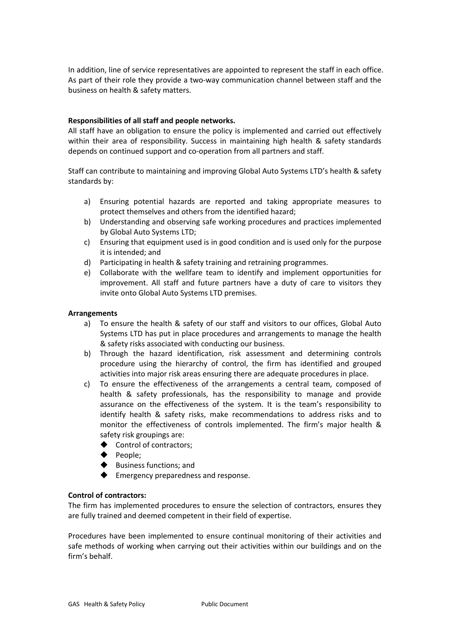In addition, line of service representatives are appointed to represent the staff in each office. As part of their role they provide a two-way communication channel between staff and the business on health & safety matters.

# **Responsibilities of all staff and people networks.**

All staff have an obligation to ensure the policy is implemented and carried out effectively within their area of responsibility. Success in maintaining high health & safety standards depends on continued support and co-operation from all partners and staff.

Staff can contribute to maintaining and improving Global Auto Systems LTD's health & safety standards by:

- a) Ensuring potential hazards are reported and taking appropriate measures to protect themselves and others from the identified hazard;
- b) Understanding and observing safe working procedures and practices implemented by Global Auto Systems LTD;
- c) Ensuring that equipment used is in good condition and is used only for the purpose it is intended; and
- d) Participating in health & safety training and retraining programmes.
- e) Collaborate with the wellfare team to identify and implement opportunities for improvement. All staff and future partners have a duty of care to visitors they invite onto Global Auto Systems LTD premises.

#### **Arrangements**

- a) To ensure the health & safety of our staff and visitors to our offices, Global Auto Systems LTD has put in place procedures and arrangements to manage the health & safety risks associated with conducting our business.
- b) Through the hazard identification, risk assessment and determining controls procedure using the hierarchy of control, the firm has identified and grouped activities into major risk areas ensuring there are adequate procedures in place.
- c) To ensure the effectiveness of the arrangements a central team, composed of health & safety professionals, has the responsibility to manage and provide assurance on the effectiveness of the system. It is the team's responsibility to identify health & safety risks, make recommendations to address risks and to monitor the effectiveness of controls implemented. The firm's major health & safety risk groupings are:
	- $\blacklozenge$  Control of contractors;
	- $\blacklozenge$  People;
	- $\blacklozenge$  Business functions; and
	- $\blacklozenge$  Emergency preparedness and response.

## **Control of contractors:**

The firm has implemented procedures to ensure the selection of contractors, ensures they are fully trained and deemed competent in their field of expertise.

Procedures have been implemented to ensure continual monitoring of their activities and safe methods of working when carrying out their activities within our buildings and on the firm's behalf.